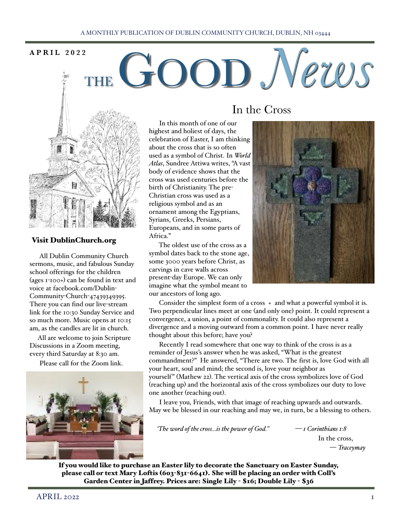### A MONTHLY PUBLICATION OF DUBLIN COMMUNITY CHURCH, DUBLIN, NH 03444

# APRIL 2022<br> **THE GOOD** *News*



### Visit DublinChurch.org

 All Dublin Community Church sermons, music, and fabulous Sunday school offerings for the children (ages 1-100+) can be found in text and voice at facebook.com/Dublin-Community-Church-47439349395. There you can find our live-stream link for the 10:30 Sunday Service and so much more. Music opens at 10:15 am, as the candles are lit in church.

 All are welcome to join Scripture Discussions in a Zoom meeting, every third Saturday at 8:30 am.

Please call for the Zoom link.



# In the Cross

 In this month of one of our highest and holiest of days, the celebration of Easter, I am thinking about the cross that is so often used as a symbol of Christ. In *World Atlas*, Sundree Attiwa writes, "A vast body of evidence shows that the cross was used centuries before the birth of Christianity. The pre-Christian cross was used as a religious symbol and as an ornament among the Egyptians, Syrians, Greeks, Persians, Europeans, and in some parts of Africa."

 The oldest use of the cross as a symbol dates back to the stone age, some 3000 years before Christ, as carvings in cave walls across present-day Europe. We can only imagine what the symbol meant to our ancestors of long ago.



 Consider the simplest form of a cross + and what a powerful symbol it is. Two perpendicular lines meet at one (and only one) point. It could represent a convergence, a union, a point of commonality. It could also represent a divergence and a moving outward from a common point. I have never really thought about this before; have you?

 Recently I read somewhere that one way to think of the cross is as a reminder of Jesus's answer when he was asked, "What is the greatest commandment?" He answered, "There are two. The first is, love God with all your heart, soul and mind; the second is, love your neighbor as yourself" (Mathew 22). The vertical axis of the cross symbolizes love of God (reaching up) and the horizontal axis of the cross symbolizes our duty to love one another (reaching out).

 I leave you, Friends, with that image of reaching upwards and outwards. May we be blessed in our reaching and may we, in turn, be a blessing to others.

 *'The word of the cross…is the power of God." — 1 Corinthians 1:8*

In the cross, — *Traceymay*

If you would like to purchase an Easter lily to decorate the Sanctuary on Easter Sunday, please call or text Mary Loftis (603-831-6641). She will be placing an order with Coll's Garden Center in Jaffrey. Prices are: Single Lily - \$16; Double Lily - \$36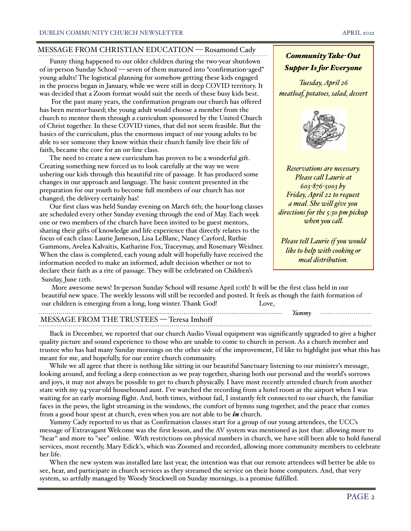# MESSAGE FROM CHRISTIAN EDUCATION — Rosamond Cady

 Funny thing happened to our older children during the two-year shutdown of in-person Sunday School — seven of them matured into "confirmation-aged" young adults! The logistical planning for somehow getting these kids engaged in the process began in January, while we were still in deep COVID territory. It was decided that a Zoom format would suit the needs of these busy kids best.

 For the past many years, the confirmation program our church has offered has been mentor-based; the young adult would choose a member from the church to mentor them through a curriculum sponsored by the United Church of Christ together. In these COVID times, that did not seem feasible. But the basics of the curriculum, plus the enormous impact of our young adults to be able to see someone they know within their church family live their life of faith, became the core for an on-line class.

 The need to create a new curriculum has proven to be a wonderful gift. Creating something new forced us to look carefully at the way we were ushering our kids through this beautiful rite of passage. It has produced some changes in our approach and language. The basic content presented in the preparation for our youth to become full members of our church has not changed; the delivery certainly has!

 Our first class was held Sunday evening on March 6th; the hour-long classes are scheduled every other Sunday evening through the end of May. Each week one or two members of the church have been invited to be guest mentors, sharing their gifts of knowledge and life experience that directly relates to the focus of each class: Laurie Jameson, Lisa LeBlanc, Nancy Cayford, Ruthie Gammons, Avelea Kalvaitis, Katharine Fox, Traceymay, and Rosemary Weidner. When the class is completed, each young adult will hopefully have received the information needed to make an informed, adult decision whether or not to declare their faith as a rite of passage. They will be celebrated on Children's Sunday, June 12th.



*Community Take-Out Supper Is for Everyone*

*Please call Laurie at 603-876-5003 by Friday, April 22 to request a meal. She will give you directions for the 5:30 pm pickup when you call.*

*Please tell Laurie if you would like to help with cooking or meal distribution.*

 More awesome news! In-person Sunday School will resume April 10th! It will be the first class held in our beautiful new space. The weekly lessons will still be recorded and posted. It feels as though the faith formation of our children is emerging from a long, long winter. Thank God! Love,

|                                      | <b>lumm</b> า | _____________________________ |
|--------------------------------------|---------------|-------------------------------|
| MESSAGE FROM THE TRUSTEES - Teresa 1 |               |                               |
|                                      |               |                               |

 Back in December, we reported that our church Audio Visual equipment was significantly upgraded to give a higher quality picture and sound experience to those who are unable to come to church in person. As a church member and trustee who has had many Sunday mornings on the other side of the improvement, I'd like to highlight just what this has meant for me, and hopefully, for our entire church community.

 While we all agree that there is nothing like sitting in our beautiful Sanctuary listening to our minister's message, looking around, and feeling a deep connection as we pray together, sharing both our personal and the world's sorrows and joys, it may not always be possible to get to church physically. I have most recently attended church from another state with my 94-year-old housebound aunt. I've watched the recording from a hotel room at the airport when I was waiting for an early morning flight. And, both times, without fail, I instantly felt connected to our church, the familiar faces in the pews, the light streaming in the windows, the comfort of hymns sung together, and the peace that comes from a good hour spent at church, even when you are not able to be *in* church.

 Yummy Cady reported to us that as Confirmation classes start for a group of our young attendees, the UCC's message of Extravagant Welcome was the first lesson, and the AV system was mentioned as just that: allowing more to "hear" and more to "see" online. With restrictions on physical numbers in church, we have still been able to hold funeral services, most recently, Mary Edick's, which was Zoomed and recorded, allowing more community members to celebrate her life.

 When the new system was installed late last year, the intention was that our remote attendees will better be able to see, hear, and participate in church services as they streamed the service on their home computers. And, that very system, so artfully managed by Woody Stockwell on Sunday mornings, is a promise fulfilled.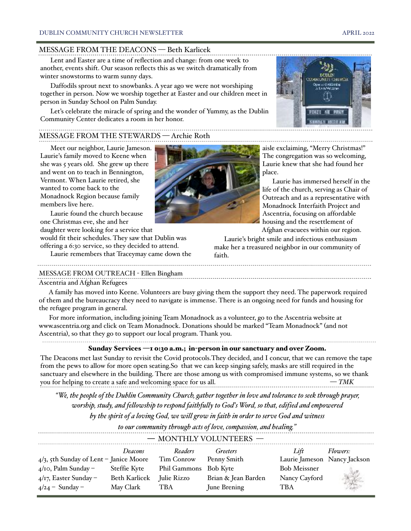### MESSAGE FROM THE DEACONS — Beth Karlicek

 Lent and Easter are a time of reflection and change: from one week to another, events shift. Our season reflects this as we switch dramatically from winter snowstorms to warm sunny days.

 Daffodils sprout next to snowbanks. A year ago we were not worshiping together in person. Now we worship together at Easter and our children meet in person in Sunday School on Palm Sunday.

 Let's celebrate the miracle of spring and the wonder of Yummy, as the Dublin Community Center dedicates a room in her honor.

# MESSAGE FROM THE STEWARDS — Archie Roth

 Meet our neighbor, Laurie Jameson. Laurie's family moved to Keene when she was 5 years old. She grew up there and went on to teach in Bennington, Vermont. When Laurie retired, she wanted to come back to the Monadnock Region because family members live here.

 Laurie found the church because one Christmas eve, she and her daughter were looking for a service that

would fit their schedules. They saw that Dublin was offering a 6:30 service, so they decided to attend.

Laurie remembers that Traceymay came down the

### MESSAGE FROM OUTREACH - Ellen Bingham

### Ascentria and Afghan Refugees

 A family has moved into Keene. Volunteers are busy giving them the support they need. The paperwork required of them and the bureaucracy they need to navigate is immense. There is an ongoing need for funds and housing for the refugee program in general.

 For more information, including joining Team Monadnock as a volunteer, go to the Ascentria website at www.ascentria.org and click on Team Monadnock. Donations should be marked "Team Monadnock" (and not Ascentria), so that they go to support our local program. Thank you. 

## Sunday Services —1 0:30 a.m.; in-person in our sanctuary and over Zoom.

The Deacons met last Sunday to revisit the Covid protocols.They decided, and I concur, that we can remove the tape from the pews to allow for more open seating.So that we can keep singing safely, masks are still required in the sanctuary and elsewhere in the building. There are those among us with compromised immune systems, so we thank you for helping to create a safe and welcoming space for us all. — *TMK*

*"We, the people of the Dublin Community Church, gather together in love and tolerance to seek through prayer, worship, study, and fellowship to respond faithfully to God's Word, so that, edified and empowered* 

*by the spirit of a loving God, we will grow in faith in order to serve God and witness* 

| $-$ MONTHLY VOLUNTEERS $-$                |               |                       |                     |                              |                 |  |  |  |  |
|-------------------------------------------|---------------|-----------------------|---------------------|------------------------------|-----------------|--|--|--|--|
|                                           | Deacons       | Readers               | Greeters            | Lift                         | <i>Flowers:</i> |  |  |  |  |
| $4/3$ , 5th Sunday of Lent - Janice Moore |               | Tim Conrow            | Penny Smith         | Laurie Jameson Nancy Jackson |                 |  |  |  |  |
| $4/10$ , Palm Sunday –                    | Steffie Kyte  | Phil Gammons Bob Kyte |                     | <b>Bob Meissner</b>          |                 |  |  |  |  |
| $4/\tau$ , Easter Sunday –                | Beth Karlicek | Julie Rizzo           | Brian & Jean Barden | Nancy Cayford                |                 |  |  |  |  |
| $4/24$ – Sunday –                         | May Clark     | <b>TBA</b>            | June Brening        | TBA                          |                 |  |  |  |  |

aisle exclaiming, "Merry Christmas!" The congregation was so welcoming, Laurie knew that she had found her place.

 Laurie has immersed herself in the life of the church, serving as Chair of Outreach and as a representative with Monadnock Interfaith Project and Ascentria, focusing on affordable housing and the resettlement of Afghan evacuees within our region.

 Laurie's bright smile and infectious enthusiasm make her a treasured neighbor in our community of faith.